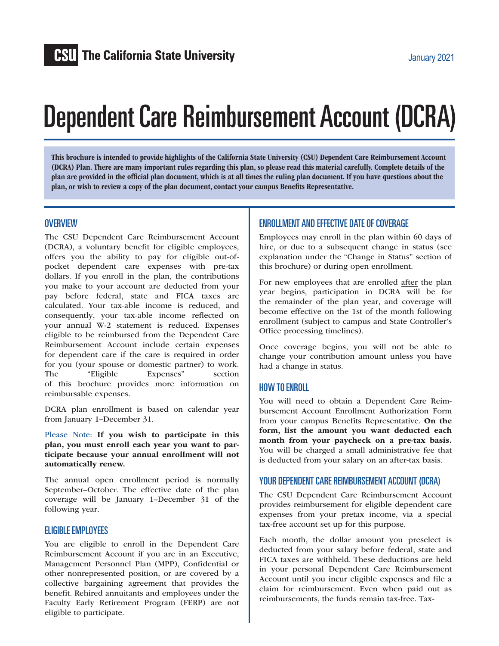# Dependent Care Reimbursement Account (DCRA)

This brochure is intended to provide highlights of the California State University (CSU) Dependent Care Reimbursement Account (DCRA) Plan. There are many important rules regarding this plan, so please read this material carefully. Complete details of the plan are provided in the official plan document, which is at all times the ruling plan document. If you have questions about the plan, or wish to review a copy of the plan document, contact your campus Benefits Representative.

## **OVERVIEW**

The CSU Dependent Care Reimbursement Account (DCRA), a voluntary benefit for eligible employees, offers you the ability to pay for eligible out-ofpocket dependent care expenses with pre-tax dollars. If you enroll in the plan, the contributions you make to your account are deducted from your pay before federal, state and FICA taxes are calculated. Your tax-able income is reduced, and consequently, your tax-able income reflected on your annual W-2 statement is reduced. Expenses eligible to be reimbursed from the Dependent Care Reimbursement Account include certain expenses for dependent care if the care is required in order for you (your spouse or domestic partner) to work. The "Eligible Expenses" section of this brochure provides more information on reimbursable expenses.

DCRA plan enrollment is based on calendar year from January 1–December 31.

Please Note: If you wish to participate in this plan, you must enroll each year you want to participate because your annual enrollment will not automatically renew.

The annual open enrollment period is normally September–October. The effective date of the plan coverage will be January 1–December 31 of the following year.

## ELIGIBLE EMPLOYEES

You are eligible to enroll in the Dependent Care Reimbursement Account if you are in an Executive, Management Personnel Plan (MPP), Confidential or other nonrepresented position, or are covered by a collective bargaining agreement that provides the benefit. Rehired annuitants and employees under the Faculty Early Retirement Program (FERP) are not eligible to participate.

## ENROLLMENT AND EFFECTIVE DATE OF COVERAGE

Employees may enroll in the plan within 60 days of hire, or due to a subsequent change in status (see explanation under the "Change in Status" section of this brochure) or during open enrollment.

For new employees that are enrolled after the plan year begins, participation in DCRA will be for the remainder of the plan year, and coverage will become effective on the 1st of the month following enrollment (subject to campus and State Controller's Office processing timelines).

Once coverage begins, you will not be able to change your contribution amount unless you have had a change in status.

## HOW TO ENROLL

You will need to obtain a Dependent Care Reimbursement Account Enrollment Authorization Form from your campus Benefits Representative. On the form, list the amount you want deducted each month from your paycheck on a pre-tax basis. You will be charged a small administrative fee that is deducted from your salary on an after-tax basis.

## YOUR DEPENDENT CARE REIMBURSEMENT ACCOUNT (DCRA)

The CSU Dependent Care Reimbursement Account provides reimbursement for eligible dependent care expenses from your pretax income, via a special tax-free account set up for this purpose.

Each month, the dollar amount you preselect is deducted from your salary before federal, state and FICA taxes are withheld. These deductions are held in your personal Dependent Care Reimbursement Account until you incur eligible expenses and file a claim for reimbursement. Even when paid out as reimbursements, the funds remain tax-free. Tax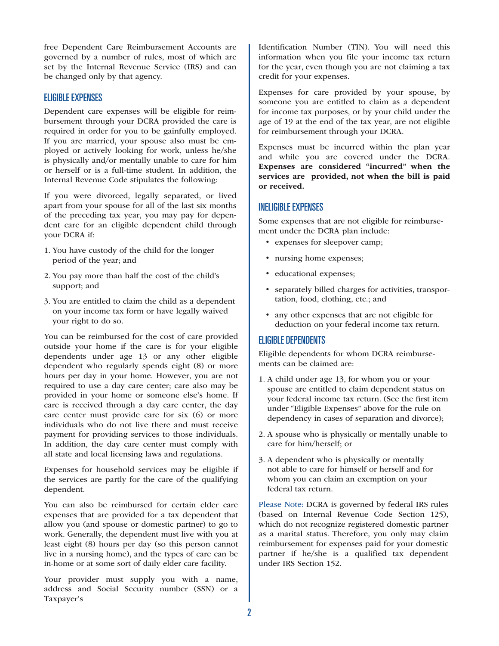free Dependent Care Reimbursement Accounts are governed by a number of rules, most of which are set by the Internal Revenue Service (IRS) and can be changed only by that agency.

# ELIGIBLE EXPENSES

Dependent care expenses will be eligible for reimbursement through your DCRA provided the care is required in order for you to be gainfully employed. If you are married, your spouse also must be employed or actively looking for work, unless he/she is physically and/or mentally unable to care for him or herself or is a full-time student. In addition, the Internal Revenue Code stipulates the following:

If you were divorced, legally separated, or lived apart from your spouse for all of the last six months of the preceding tax year, you may pay for dependent care for an eligible dependent child through your DCRA if:

- 1. You have custody of the child for the longer period of the year; and
- 2. You pay more than half the cost of the child's support; and
- 3. You are entitled to claim the child as a dependent on your income tax form or have legally waived your right to do so.

You can be reimbursed for the cost of care provided outside your home if the care is for your eligible dependents under age 13 or any other eligible dependent who regularly spends eight (8) or more hours per day in your home. However, you are not required to use a day care center; care also may be provided in your home or someone else's home. If care is received through a day care center, the day care center must provide care for six (6) or more individuals who do not live there and must receive payment for providing services to those individuals. In addition, the day care center must comply with all state and local licensing laws and regulations.

Expenses for household services may be eligible if the services are partly for the care of the qualifying dependent.

You can also be reimbursed for certain elder care expenses that are provided for a tax dependent that allow you (and spouse or domestic partner) to go to work. Generally, the dependent must live with you at least eight (8) hours per day (so this person cannot live in a nursing home), and the types of care can be in-home or at some sort of daily elder care facility.

Your provider must supply you with a name, address and Social Security number (SSN) or a Taxpayer's

Identification Number (TIN). You will need this information when you file your income tax return for the year, even though you are not claiming a tax credit for your expenses.

Expenses for care provided by your spouse, by someone you are entitled to claim as a dependent for income tax purposes, or by your child under the age of 19 at the end of the tax year, are not eligible for reimbursement through your DCRA.

Expenses must be incurred within the plan year and while you are covered under the DCRA. Expenses are considered "incurred" when the services are provided, not when the bill is paid or received.

## INELIGIBLE EXPENSES

Some expenses that are not eligible for reimbursement under the DCRA plan include:

- expenses for sleepover camp;
- nursing home expenses;
- educational expenses;
- separately billed charges for activities, transportation, food, clothing, etc.; and
- any other expenses that are not eligible for deduction on your federal income tax return.

# ELIGIBLE DEPENDENTS

Eligible dependents for whom DCRA reimbursements can be claimed are:

- 1. A child under age 13, for whom you or your spouse are entitled to claim dependent status on your federal income tax return. (See the first item under "Eligible Expenses" above for the rule on dependency in cases of separation and divorce);
- 2. A spouse who is physically or mentally unable to care for him/herself; or
- 3. A dependent who is physically or mentally not able to care for himself or herself and for whom you can claim an exemption on your federal tax return.

Please Note: DCRA is governed by federal IRS rules (based on Internal Revenue Code Section 125), which do not recognize registered domestic partner as a marital status. Therefore, you only may claim reimbursement for expenses paid for your domestic partner if he/she is a qualified tax dependent under IRS Section 152.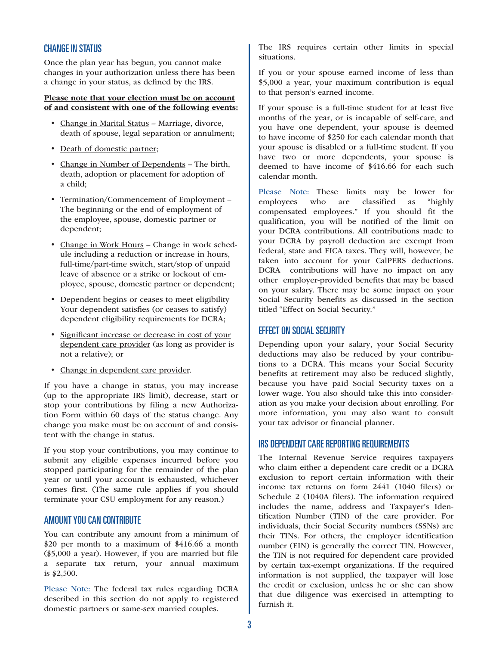## CHANGE IN STATUS

Once the plan year has begun, you cannot make changes in your authorization unless there has been a change in your status, as defined by the IRS.

#### Please note that your election must be on account of and consistent with one of the following events:

- Change in Marital Status Marriage, divorce, death of spouse, legal separation or annulment;
- Death of domestic partner;
- Change in Number of Dependents The birth, death, adoption or placement for adoption of a child;
- Termination/Commencement of Employment The beginning or the end of employment of the employee, spouse, domestic partner or dependent;
- Change in Work Hours Change in work schedule including a reduction or increase in hours, full-time/part-time switch, start/stop of unpaid leave of absence or a strike or lockout of employee, spouse, domestic partner or dependent;
- Dependent begins or ceases to meet eligibility Your dependent satisfies (or ceases to satisfy) dependent eligibility requirements for DCRA;
- Significant increase or decrease in cost of your dependent care provider (as long as provider is not a relative); or
- Change in dependent care provider.

If you have a change in status, you may increase (up to the appropriate IRS limit), decrease, start or stop your contributions by filing a new Authorization Form within 60 days of the status change. Any change you make must be on account of and consistent with the change in status.

If you stop your contributions, you may continue to submit any eligible expenses incurred before you stopped participating for the remainder of the plan year or until your account is exhausted, whichever comes first. (The same rule applies if you should terminate your CSU employment for any reason.)

## AMOUNT YOU CAN CONTRIBUTE

You can contribute any amount from a minimum of \$20 per month to a maximum of \$416.66 a month (\$5,000 a year). However, if you are married but file a separate tax return, your annual maximum is \$2,500.

Please Note: The federal tax rules regarding DCRA described in this section do not apply to registered domestic partners or same-sex married couples.

The IRS requires certain other limits in special situations.

If you or your spouse earned income of less than \$5,000 a year, your maximum contribution is equal to that person's earned income.

If your spouse is a full-time student for at least five months of the year, or is incapable of self-care, and you have one dependent, your spouse is deemed to have income of \$250 for each calendar month that your spouse is disabled or a full-time student. If you have two or more dependents, your spouse is deemed to have income of \$416.66 for each such calendar month.

Please Note: These limits may be lower for employees who are classified as "highly compensated employees." If you should fit the qualification, you will be notified of the limit on your DCRA contributions. All contributions made to your DCRA by payroll deduction are exempt from federal, state and FICA taxes. They will, however, be taken into account for your CalPERS deductions. DCRA contributions will have no impact on any other employer-provided benefits that may be based on your salary. There may be some impact on your Social Security benefits as discussed in the section titled "Effect on Social Security."

## EFFECT ON SOCIAL SECURITY

Depending upon your salary, your Social Security deductions may also be reduced by your contributions to a DCRA. This means your Social Security benefits at retirement may also be reduced slightly, because you have paid Social Security taxes on a lower wage. You also should take this into consideration as you make your decision about enrolling. For more information, you may also want to consult your tax advisor or financial planner.

## IRS DEPENDENT CARE REPORTING REQUIREMENTS

The Internal Revenue Service requires taxpayers who claim either a dependent care credit or a DCRA exclusion to report certain information with their income tax returns on form 2441 (1040 filers) or Schedule 2 (1040A filers). The information required includes the name, address and Taxpayer's Identification Number (TIN) of the care provider. For individuals, their Social Security numbers (SSNs) are their TINs. For others, the employer identification number (EIN) is generally the correct TIN. However, the TIN is not required for dependent care provided by certain tax-exempt organizations. If the required information is not supplied, the taxpayer will lose the credit or exclusion, unless he or she can show that due diligence was exercised in attempting to furnish it.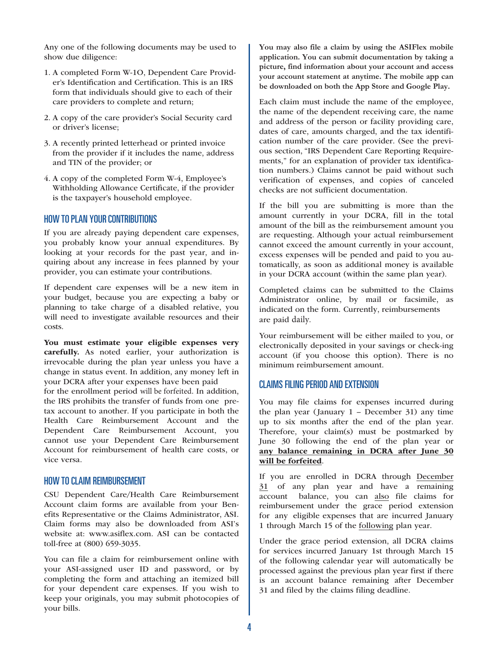Any one of the following documents may be used to show due diligence:

- 1. A completed Form W-1O, Dependent Care Provider's Identification and Certification. This is an IRS form that individuals should give to each of their care providers to complete and return;
- 2. A copy of the care provider's Social Security card or driver's license;
- 3. A recently printed letterhead or printed invoice from the provider if it includes the name, address and TIN of the provider; or
- 4. A copy of the completed Form W-4, Employee's Withholding Allowance Certificate, if the provider is the taxpayer's household employee.

## HOW TO PLAN YOUR CONTRIBUTIONS

If you are already paying dependent care expenses, you probably know your annual expenditures. By looking at your records for the past year, and inquiring about any increase in fees planned by your provider, you can estimate your contributions.

If dependent care expenses will be a new item in your budget, because you are expecting a baby or planning to take charge of a disabled relative, you will need to investigate available resources and their costs.

You must estimate your eligible expenses very carefully. As noted earlier, your authorization is irrevocable during the plan year unless you have a change in status event. In addition, any money left in your DCRA after your expenses have been paid

for the enrollment period will be forfeited. In addition, the IRS prohibits the transfer of funds from one pretax account to another. If you participate in both the Health Care Reimbursement Account and the Dependent Care Reimbursement Account, you cannot use your Dependent Care Reimbursement Account for reimbursement of health care costs, or vice versa.

## HOW TO CLAIM REIMBURSEMENT

CSU Dependent Care/Health Care Reimbursement Account claim forms are available from your Benefits Representative or the Claims Administrator, ASI. Claim forms may also be downloaded from ASI's website at: www.asiflex.com. ASI can be contacted toll-free at (800) 659-3035.

You can file a claim for reimbursement online with your ASI-assigned user ID and password, or by completing the form and attaching an itemized bill for your dependent care expenses. If you wish to keep your originals, you may submit photocopies of your bills.

**You may also file a claim by using the ASIFlex mobile application. You can submit documentation by taking a picture, find information about your account and access your account statement at anytime. The mobile app can be downloaded on both the App Store and Google Play.** 

Each claim must include the name of the employee, the name of the dependent receiving care, the name and address of the person or facility providing care, dates of care, amounts charged, and the tax identification number of the care provider. (See the previous section, "IRS Dependent Care Reporting Requirements," for an explanation of provider tax identification numbers.) Claims cannot be paid without such verification of expenses, and copies of canceled checks are not sufficient documentation.

If the bill you are submitting is more than the amount currently in your DCRA, fill in the total amount of the bill as the reimbursement amount you are requesting. Although your actual reimbursement cannot exceed the amount currently in your account, excess expenses will be pended and paid to you automatically, as soon as additional money is available in your DCRA account (within the same plan year).

Completed claims can be submitted to the Claims Administrator online, by mail or facsimile, as indicated on the form. Currently, reimbursements are paid daily.

Your reimbursement will be either mailed to you, or electronically deposited in your savings or check-ing account (if you choose this option). There is no minimum reimbursement amount.

## CLAIMS FILING PERIOD AND EXTENSION

You may file claims for expenses incurred during the plan year (January 1 – December 31) any time up to six months after the end of the plan year. Therefore, your claim(s) must be postmarked by June 30 following the end of the plan year or any balance remaining in DCRA after June 30 will be forfeited.

If you are enrolled in DCRA through December 31 of any plan year and have a remaining account balance, you can also file claims for reimbursement under the grace period extension for any eligible expenses that are incurred January 1 through March 15 of the following plan year.

Under the grace period extension, all DCRA claims for services incurred January 1st through March 15 of the following calendar year will automatically be processed against the previous plan year first if there is an account balance remaining after December 31 and filed by the claims filing deadline.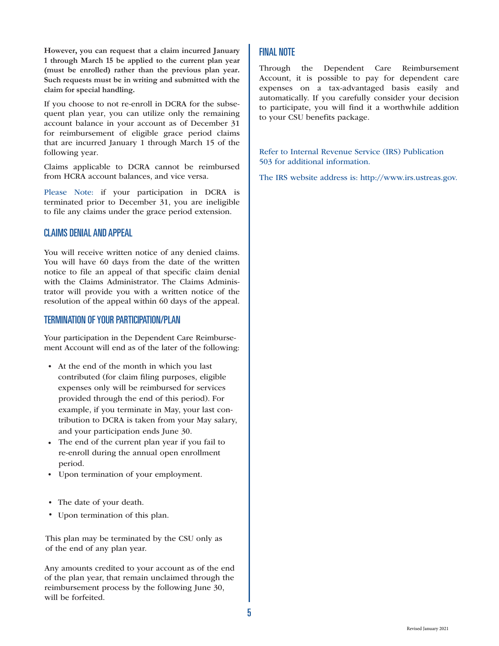**However, you can request that a claim incurred January 1 through March 15 be applied to the current plan year (must be enrolled) rather than the previous plan year. Such requests must be in writing and submitted with the claim for special handling.** 

If you choose to not re-enroll in DCRA for the subsequent plan year, you can utilize only the remaining account balance in your account as of December 31 for reimbursement of eligible grace period claims that are incurred January 1 through March 15 of the following year.

Claims applicable to DCRA cannot be reimbursed from HCRA account balances, and vice versa.

Please Note: if your participation in DCRA is terminated prior to December 31, you are ineligible to file any claims under the grace period extension.

## CLAIMS DENIAL AND APPEAL

You will receive written notice of any denied claims. You will have 60 days from the date of the written notice to file an appeal of that specific claim denial with the Claims Administrator. The Claims Administrator will provide you with a written notice of the resolution of the appeal within 60 days of the appeal.

## TERMINATION OF YOUR PARTICIPATION/PLAN

Your participation in the Dependent Care Reimbursement Account will end as of the later of the following:

- At the end of the month in which you last contributed (for claim filing purposes, eligible expenses only will be reimbursed for services provided through the end of this period). For example, if you terminate in May, your last contribution to DCRA is taken from your May salary, and your participation ends June 30.
- The end of the current plan year if you fail to re-enroll during the annual open enrollment period.
- Upon termination of your employment.
- The date of your death.
- Upon termination of this plan.

This plan may be terminated by the CSU only as of the end of any plan year.

Any amounts credited to your account as of the end of the plan year, that remain unclaimed through the reimbursement process by the following June 30, will be forfeited.

## FINAL NOTE

Through the Dependent Care Reimbursement Account, it is possible to pay for dependent care expenses on a tax-advantaged basis easily and automatically. If you carefully consider your decision to participate, you will find it a worthwhile addition to your CSU benefits package.

Refer to Internal Revenue Service (IRS) Publication 503 for additional information.

The IRS website address is: http://www.irs.ustreas.gov.